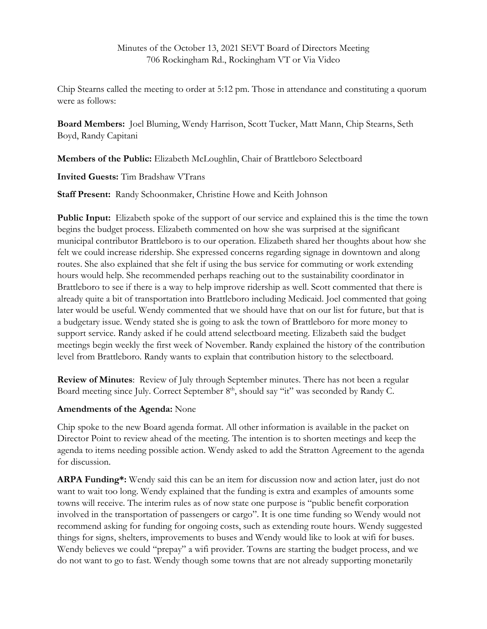Chip Stearns called the meeting to order at 5:12 pm. Those in attendance and constituting a quorum were as follows:

**Board Members:** Joel Bluming, Wendy Harrison, Scott Tucker, Matt Mann, Chip Stearns, Seth Boyd, Randy Capitani

**Members of the Public:** Elizabeth McLoughlin, Chair of Brattleboro Selectboard

**Invited Guests:** Tim Bradshaw VTrans

**Staff Present:** Randy Schoonmaker, Christine Howe and Keith Johnson

**Public Input:** Elizabeth spoke of the support of our service and explained this is the time the town begins the budget process. Elizabeth commented on how she was surprised at the significant municipal contributor Brattleboro is to our operation. Elizabeth shared her thoughts about how she felt we could increase ridership. She expressed concerns regarding signage in downtown and along routes. She also explained that she felt if using the bus service for commuting or work extending hours would help. She recommended perhaps reaching out to the sustainability coordinator in Brattleboro to see if there is a way to help improve ridership as well. Scott commented that there is already quite a bit of transportation into Brattleboro including Medicaid. Joel commented that going later would be useful. Wendy commented that we should have that on our list for future, but that is a budgetary issue. Wendy stated she is going to ask the town of Brattleboro for more money to support service. Randy asked if he could attend selectboard meeting. Elizabeth said the budget meetings begin weekly the first week of November. Randy explained the history of the contribution level from Brattleboro. Randy wants to explain that contribution history to the selectboard.

**Review of Minutes**: Review of July through September minutes. There has not been a regular Board meeting since July. Correct September 8<sup>th</sup>, should say "it" was seconded by Randy C.

## **Amendments of the Agenda:** None

Chip spoke to the new Board agenda format. All other information is available in the packet on Director Point to review ahead of the meeting. The intention is to shorten meetings and keep the agenda to items needing possible action. Wendy asked to add the Stratton Agreement to the agenda for discussion.

**ARPA Funding\*:** Wendy said this can be an item for discussion now and action later, just do not want to wait too long. Wendy explained that the funding is extra and examples of amounts some towns will receive. The interim rules as of now state one purpose is "public benefit corporation involved in the transportation of passengers or cargo". It is one time funding so Wendy would not recommend asking for funding for ongoing costs, such as extending route hours. Wendy suggested things for signs, shelters, improvements to buses and Wendy would like to look at wifi for buses. Wendy believes we could "prepay" a wifi provider. Towns are starting the budget process, and we do not want to go to fast. Wendy though some towns that are not already supporting monetarily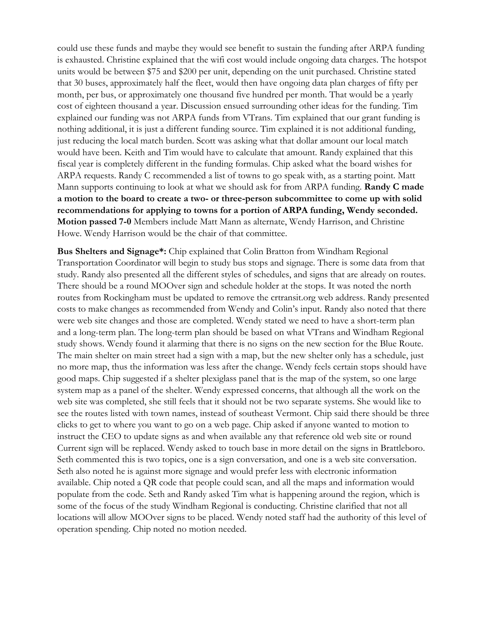could use these funds and maybe they would see benefit to sustain the funding after ARPA funding is exhausted. Christine explained that the wifi cost would include ongoing data charges. The hotspot units would be between \$75 and \$200 per unit, depending on the unit purchased. Christine stated that 30 buses, approximately half the fleet, would then have ongoing data plan charges of fifty per month, per bus, or approximately one thousand five hundred per month. That would be a yearly cost of eighteen thousand a year. Discussion ensued surrounding other ideas for the funding. Tim explained our funding was not ARPA funds from VTrans. Tim explained that our grant funding is nothing additional, it is just a different funding source. Tim explained it is not additional funding, just reducing the local match burden. Scott was asking what that dollar amount our local match would have been. Keith and Tim would have to calculate that amount. Randy explained that this fiscal year is completely different in the funding formulas. Chip asked what the board wishes for ARPA requests. Randy C recommended a list of towns to go speak with, as a starting point. Matt Mann supports continuing to look at what we should ask for from ARPA funding. **Randy C made a motion to the board to create a two- or three-person subcommittee to come up with solid recommendations for applying to towns for a portion of ARPA funding, Wendy seconded. Motion passed 7-0** Members include Matt Mann as alternate, Wendy Harrison, and Christine Howe. Wendy Harrison would be the chair of that committee.

**Bus Shelters and Signage\*:** Chip explained that Colin Bratton from Windham Regional Transportation Coordinator will begin to study bus stops and signage. There is some data from that study. Randy also presented all the different styles of schedules, and signs that are already on routes. There should be a round MOOver sign and schedule holder at the stops. It was noted the north routes from Rockingham must be updated to remove the crtransit.org web address. Randy presented costs to make changes as recommended from Wendy and Colin's input. Randy also noted that there were web site changes and those are completed. Wendy stated we need to have a short-term plan and a long-term plan. The long-term plan should be based on what VTrans and Windham Regional study shows. Wendy found it alarming that there is no signs on the new section for the Blue Route. The main shelter on main street had a sign with a map, but the new shelter only has a schedule, just no more map, thus the information was less after the change. Wendy feels certain stops should have good maps. Chip suggested if a shelter plexiglass panel that is the map of the system, so one large system map as a panel of the shelter. Wendy expressed concerns, that although all the work on the web site was completed, she still feels that it should not be two separate systems. She would like to see the routes listed with town names, instead of southeast Vermont. Chip said there should be three clicks to get to where you want to go on a web page. Chip asked if anyone wanted to motion to instruct the CEO to update signs as and when available any that reference old web site or round Current sign will be replaced. Wendy asked to touch base in more detail on the signs in Brattleboro. Seth commented this is two topics, one is a sign conversation, and one is a web site conversation. Seth also noted he is against more signage and would prefer less with electronic information available. Chip noted a QR code that people could scan, and all the maps and information would populate from the code. Seth and Randy asked Tim what is happening around the region, which is some of the focus of the study Windham Regional is conducting. Christine clarified that not all locations will allow MOOver signs to be placed. Wendy noted staff had the authority of this level of operation spending. Chip noted no motion needed.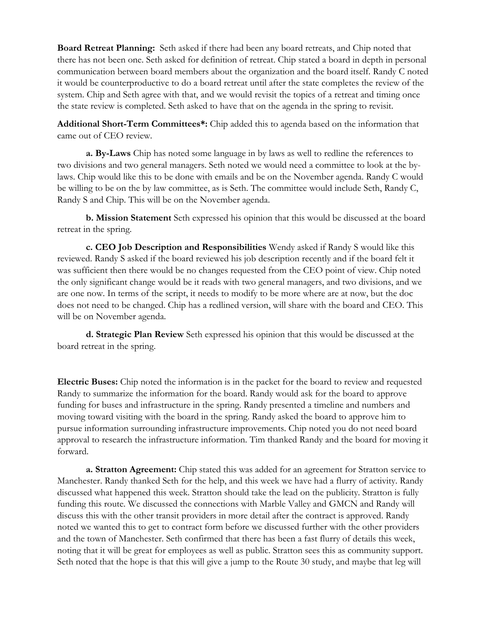**Board Retreat Planning:** Seth asked if there had been any board retreats, and Chip noted that there has not been one. Seth asked for definition of retreat. Chip stated a board in depth in personal communication between board members about the organization and the board itself. Randy C noted it would be counterproductive to do a board retreat until after the state completes the review of the system. Chip and Seth agree with that, and we would revisit the topics of a retreat and timing once the state review is completed. Seth asked to have that on the agenda in the spring to revisit.

**Additional Short-Term Committees\*:** Chip added this to agenda based on the information that came out of CEO review.

**a. By-Laws** Chip has noted some language in by laws as well to redline the references to two divisions and two general managers. Seth noted we would need a committee to look at the bylaws. Chip would like this to be done with emails and be on the November agenda. Randy C would be willing to be on the by law committee, as is Seth. The committee would include Seth, Randy C, Randy S and Chip. This will be on the November agenda.

**b. Mission Statement** Seth expressed his opinion that this would be discussed at the board retreat in the spring.

**c. CEO Job Description and Responsibilities** Wendy asked if Randy S would like this reviewed. Randy S asked if the board reviewed his job description recently and if the board felt it was sufficient then there would be no changes requested from the CEO point of view. Chip noted the only significant change would be it reads with two general managers, and two divisions, and we are one now. In terms of the script, it needs to modify to be more where are at now, but the doc does not need to be changed. Chip has a redlined version, will share with the board and CEO. This will be on November agenda.

**d. Strategic Plan Review** Seth expressed his opinion that this would be discussed at the board retreat in the spring.

**Electric Buses:** Chip noted the information is in the packet for the board to review and requested Randy to summarize the information for the board. Randy would ask for the board to approve funding for buses and infrastructure in the spring. Randy presented a timeline and numbers and moving toward visiting with the board in the spring. Randy asked the board to approve him to pursue information surrounding infrastructure improvements. Chip noted you do not need board approval to research the infrastructure information. Tim thanked Randy and the board for moving it forward.

**a. Stratton Agreement:** Chip stated this was added for an agreement for Stratton service to Manchester. Randy thanked Seth for the help, and this week we have had a flurry of activity. Randy discussed what happened this week. Stratton should take the lead on the publicity. Stratton is fully funding this route. We discussed the connections with Marble Valley and GMCN and Randy will discuss this with the other transit providers in more detail after the contract is approved. Randy noted we wanted this to get to contract form before we discussed further with the other providers and the town of Manchester. Seth confirmed that there has been a fast flurry of details this week, noting that it will be great for employees as well as public. Stratton sees this as community support. Seth noted that the hope is that this will give a jump to the Route 30 study, and maybe that leg will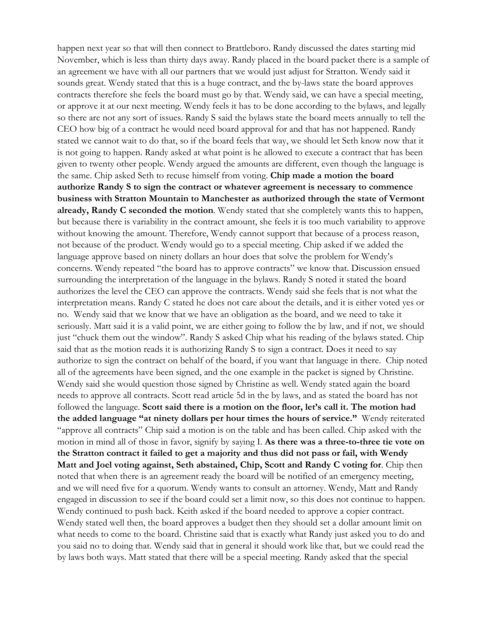happen next year so that will then connect to Brattleboro. Randy discussed the dates starting mid November, which is less than thirty days away. Randy placed in the board packet there is a sample of an agreement we have with all our partners that we would just adjust for Stratton. Wendy said it sounds great. Wendy stated that this is a huge contract, and the by-laws state the board approves contracts therefore she feels the board must go by that. Wendy said, we can have a special meeting, or approve it at our next meeting. Wendy feels it has to be done according to the bylaws, and legally so there are not any sort of issues. Randy S said the bylaws state the board meets annually to tell the CEO how big of a contract he would need board approval for and that has not happened. Randy stated we cannot wait to do that, so if the board feels that way, we should let Seth know now that it is not going to happen. Randy asked at what point is he allowed to execute a contract that has been given to twenty other people. Wendy argued the amounts are different, even though the language is the same. Chip asked Seth to recuse himself from voting. **Chip made a motion the board authorize Randy S to sign the contract or whatever agreement is necessary to commence business with Stratton Mountain to Manchester as authorized through the state of Vermont already, Randy C seconded the motion**. Wendy stated that she completely wants this to happen, but because there is variability in the contract amount, she feels it is too much variability to approve without knowing the amount. Therefore, Wendy cannot support that because of a process reason, not because of the product. Wendy would go to a special meeting. Chip asked if we added the language approve based on ninety dollars an hour does that solve the problem for Wendy's concerns. Wendy repeated "the board has to approve contracts" we know that. Discussion ensued surrounding the interpretation of the language in the bylaws. Randy S noted it stated the board authorizes the level the CEO can approve the contracts. Wendy said she feels that is not what the interpretation means. Randy C stated he does not care about the details, and it is either voted yes or no. Wendy said that we know that we have an obligation as the board, and we need to take it seriously. Matt said it is a valid point, we are either going to follow the by law, and if not, we should just "chuck them out the window". Randy S asked Chip what his reading of the bylaws stated. Chip said that as the motion reads it is authorizing Randy S to sign a contract. Does it need to say authorize to sign the contract on behalf of the board, if you want that language in there. Chip noted all of the agreements have been signed, and the one example in the packet is signed by Christine. Wendy said she would question those signed by Christine as well. Wendy stated again the board needs to approve all contracts. Scott read article 5d in the by laws, and as stated the board has not followed the language. **Scott said there is a motion on the floor, let's call it. The motion had the added language "at ninety dollars per hour times the hours of service."** Wendy reiterated "approve all contracts" Chip said a motion is on the table and has been called. Chip asked with the motion in mind all of those in favor, signify by saying I. **As there was a three-to-three tie vote on the Stratton contract it failed to get a majority and thus did not pass or fail, with Wendy Matt and Joel voting against, Seth abstained, Chip, Scott and Randy C voting for**. Chip then noted that when there is an agreement ready the board will be notified of an emergency meeting, and we will need five for a quorum. Wendy wants to consult an attorney. Wendy, Matt and Randy engaged in discussion to see if the board could set a limit now, so this does not continue to happen. Wendy continued to push back. Keith asked if the board needed to approve a copier contract. Wendy stated well then, the board approves a budget then they should set a dollar amount limit on what needs to come to the board. Christine said that is exactly what Randy just asked you to do and you said no to doing that. Wendy said that in general it should work like that, but we could read the by laws both ways. Matt stated that there will be a special meeting. Randy asked that the special